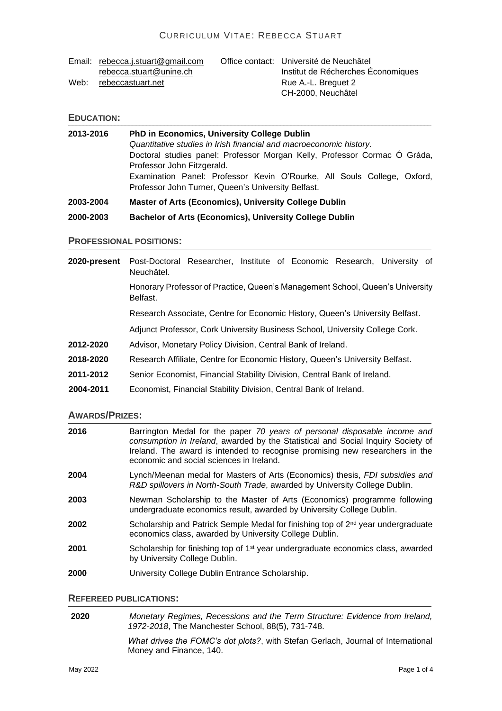|      | Email: rebecca.j.stuart@gmail.com | Office contact: Université de Neuchâtel |
|------|-----------------------------------|-----------------------------------------|
|      | rebecca.stuart@unine.ch           | Institut de Récherches Économiques      |
| Web: | rebeccastuart.net                 | Rue A.-L. Breguet 2                     |
|      |                                   | CH-2000. Neuchâtel                      |

### **EDUCATION:**

| 2013-2016 | <b>PhD in Economics, University College Dublin</b><br>Quantitative studies in Irish financial and macroeconomic history.<br>Doctoral studies panel: Professor Morgan Kelly, Professor Cormac O Gráda,<br>Professor John Fitzgerald. |  |
|-----------|-------------------------------------------------------------------------------------------------------------------------------------------------------------------------------------------------------------------------------------|--|
|           | Examination Panel: Professor Kevin O'Rourke, All Souls College, Oxford,<br>Professor John Turner, Queen's University Belfast.                                                                                                       |  |
| 2003-2004 | <b>Master of Arts (Economics), University College Dublin</b>                                                                                                                                                                        |  |
| 2000-2003 | <b>Bachelor of Arts (Economics), University College Dublin</b>                                                                                                                                                                      |  |

#### **PROFESSIONAL POSITIONS:**

| 2020-present | Post-Doctoral Researcher, Institute of Economic Research, University of<br>Neuchâtel.     |
|--------------|-------------------------------------------------------------------------------------------|
|              | Honorary Professor of Practice, Queen's Management School, Queen's University<br>Belfast. |
|              | Research Associate, Centre for Economic History, Queen's University Belfast.              |
|              | Adjunct Professor, Cork University Business School, University College Cork.              |
| 2012-2020    | Advisor, Monetary Policy Division, Central Bank of Ireland.                               |
| 2018-2020    | Research Affiliate, Centre for Economic History, Queen's University Belfast.              |
| 2011-2012    | Senior Economist, Financial Stability Division, Central Bank of Ireland.                  |
| 2004-2011    | Economist, Financial Stability Division, Central Bank of Ireland.                         |

#### **AWARDS/PRIZES:**

| 2016 | Barrington Medal for the paper 70 years of personal disposable income and<br>consumption in Ireland, awarded by the Statistical and Social Inquiry Society of<br>Ireland. The award is intended to recognise promising new researchers in the<br>economic and social sciences in Ireland. |
|------|-------------------------------------------------------------------------------------------------------------------------------------------------------------------------------------------------------------------------------------------------------------------------------------------|
| 2004 | Lynch/Meenan medal for Masters of Arts (Economics) thesis, FDI subsidies and<br>R&D spillovers in North-South Trade, awarded by University College Dublin.                                                                                                                                |
| 2003 | Newman Scholarship to the Master of Arts (Economics) programme following<br>undergraduate economics result, awarded by University College Dublin.                                                                                                                                         |
| 2002 | Scholarship and Patrick Semple Medal for finishing top of 2 <sup>nd</sup> year undergraduate<br>economics class, awarded by University College Dublin.                                                                                                                                    |
| 2001 | Scholarship for finishing top of 1 <sup>st</sup> year undergraduate economics class, awarded<br>by University College Dublin.                                                                                                                                                             |
| 2000 | University College Dublin Entrance Scholarship.                                                                                                                                                                                                                                           |

# **REFEREED PUBLICATIONS:**

**2020** *Monetary Regimes, Recessions and the Term Structure: Evidence from Ireland, 1972-2018*, The Manchester School, 88(5), 731-748.

> *What drives the FOMC's dot plots?*, with Stefan Gerlach, Journal of International Money and Finance, 140.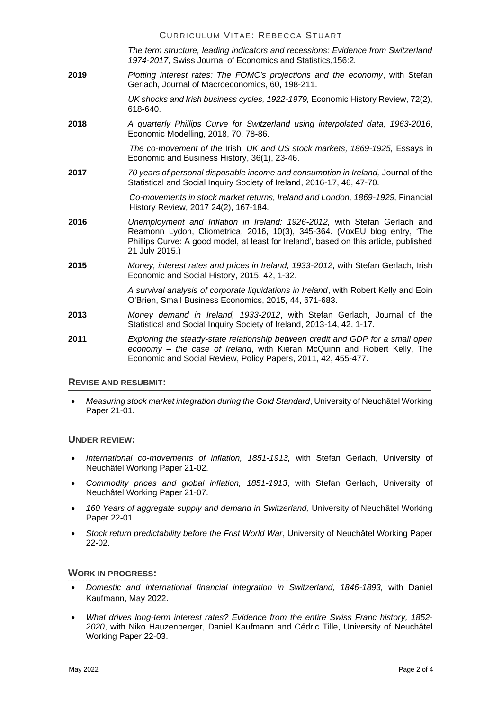*The term structure, leading indicators and recessions: Evidence from Switzerland 1974-2017,* Swiss Journal of Economics and Statistics,156:2*.*

**2019** *Plotting interest rates: The FOMC's projections and the economy*, with Stefan Gerlach, Journal of Macroeconomics, 60, 198-211.

> *UK shocks and Irish business cycles, 1922-1979,* Economic History Review, 72(2), 618-640.

**2018** *A quarterly Phillips Curve for Switzerland using interpolated data, 1963-2016*, Economic Modelling, 2018, 70, 78-86.

> *The co-movement of the* Irish*, UK and US stock markets, 1869-1925,* Essays in Economic and Business History, 36(1), 23-46.

**2017** *70 years of personal disposable income and consumption in Ireland,* Journal of the Statistical and Social Inquiry Society of Ireland, 2016-17, 46, 47-70.

> *Co-movements in stock market returns, Ireland and London, 1869-1929,* Financial History Review, 2017 24(2), 167-184.

- **2016** *Unemployment and Inflation in Ireland: 1926-2012,* with Stefan Gerlach and Reamonn Lydon, Cliometrica, 2016, 10(3), 345-364. (VoxEU blog entry, 'The Phillips Curve: A good model, at least for Ireland', based on this article, published 21 July 2015.)
- **2015** *Money, interest rates and prices in Ireland, 1933-2012*, with Stefan Gerlach, Irish Economic and Social History, 2015, 42, 1-32.

*A survival analysis of corporate liquidations in Ireland*, with Robert Kelly and Eoin O'Brien, Small Business Economics, 2015, 44, 671-683.

- **2013** *Money demand in Ireland, 1933-2012*, with Stefan Gerlach, Journal of the Statistical and Social Inquiry Society of Ireland, 2013-14, 42, 1-17.
- **2011** *Exploring the steady-state relationship between credit and GDP for a small open economy – the case of Ireland*, with Kieran McQuinn and Robert Kelly, The Economic and Social Review, Policy Papers, 2011, 42, 455-477.

#### **REVISE AND RESUBMIT:**

• *Measuring stock market integration during the Gold Standard*, University of Neuchâtel Working Paper 21-01.

#### **UNDER REVIEW:**

- *International co-movements of inflation, 1851-1913,* with Stefan Gerlach, University of Neuchâtel Working Paper 21-02.
- *Commodity prices and global inflation, 1851-1913*, with Stefan Gerlach, University of Neuchâtel Working Paper 21-07.
- *160 Years of aggregate supply and demand in Switzerland,* University of Neuchâtel Working Paper 22-01.
- *Stock return predictability before the Frist World War*, University of Neuchâtel Working Paper 22-02.

#### **WORK IN PROGRESS:**

- *Domestic and international financial integration in Switzerland, 1846-1893,* with Daniel Kaufmann, May 2022.
- *What drives long-term interest rates? Evidence from the entire Swiss Franc history, 1852- 2020*, with Niko Hauzenberger, Daniel Kaufmann and Cédric Tille, University of Neuchâtel Working Paper 22-03.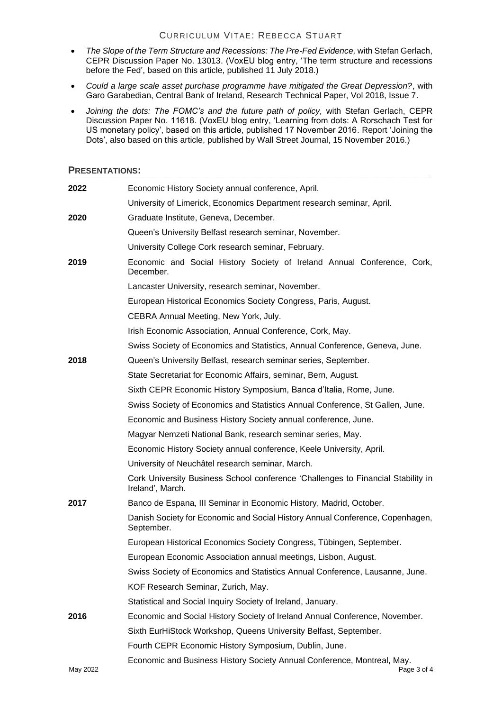- *The Slope of the Term Structure and Recessions: The Pre-Fed Evidence,* with Stefan Gerlach, CEPR Discussion Paper No. 13013. (VoxEU blog entry, 'The term structure and recessions before the Fed', based on this article, published 11 July 2018.)
- *Could a large scale asset purchase programme have mitigated the Great Depression?*, with Garo Garabedian, Central Bank of Ireland, Research Technical Paper, Vol 2018, Issue 7.
- *Joining the dots: The FOMC's and the future path of policy,* with Stefan Gerlach, CEPR Discussion Paper No. 11618. (VoxEU blog entry, 'Learning from dots: A Rorschach Test for US monetary policy', based on this article, published 17 November 2016. Report 'Joining the Dots', also based on this article, published by Wall Street Journal, 15 November 2016.)

#### **PRESENTATIONS:**

| 2022     | Economic History Society annual conference, April.                                                   |
|----------|------------------------------------------------------------------------------------------------------|
|          | University of Limerick, Economics Department research seminar, April.                                |
| 2020     | Graduate Institute, Geneva, December.                                                                |
|          | Queen's University Belfast research seminar, November.                                               |
|          | University College Cork research seminar, February.                                                  |
| 2019     | Economic and Social History Society of Ireland Annual Conference, Cork,<br>December.                 |
|          | Lancaster University, research seminar, November.                                                    |
|          | European Historical Economics Society Congress, Paris, August.                                       |
|          | CEBRA Annual Meeting, New York, July.                                                                |
|          | Irish Economic Association, Annual Conference, Cork, May.                                            |
|          | Swiss Society of Economics and Statistics, Annual Conference, Geneva, June.                          |
| 2018     | Queen's University Belfast, research seminar series, September.                                      |
|          | State Secretariat for Economic Affairs, seminar, Bern, August.                                       |
|          | Sixth CEPR Economic History Symposium, Banca d'Italia, Rome, June.                                   |
|          | Swiss Society of Economics and Statistics Annual Conference, St Gallen, June.                        |
|          | Economic and Business History Society annual conference, June.                                       |
|          | Magyar Nemzeti National Bank, research seminar series, May.                                          |
|          | Economic History Society annual conference, Keele University, April.                                 |
|          | University of Neuchâtel research seminar, March.                                                     |
|          | Cork University Business School conference 'Challenges to Financial Stability in<br>Ireland', March. |
| 2017     | Banco de Espana, III Seminar in Economic History, Madrid, October.                                   |
|          | Danish Society for Economic and Social History Annual Conference, Copenhagen,<br>September.          |
|          | European Historical Economics Society Congress, Tübingen, September.                                 |
|          | European Economic Association annual meetings, Lisbon, August.                                       |
|          | Swiss Society of Economics and Statistics Annual Conference, Lausanne, June.                         |
|          | KOF Research Seminar, Zurich, May.                                                                   |
|          | Statistical and Social Inquiry Society of Ireland, January.                                          |
| 2016     | Economic and Social History Society of Ireland Annual Conference, November.                          |
|          | Sixth EurHiStock Workshop, Queens University Belfast, September.                                     |
|          | Fourth CEPR Economic History Symposium, Dublin, June.                                                |
| May 2022 | Economic and Business History Society Annual Conference, Montreal, May.<br>Page 3 of 4               |